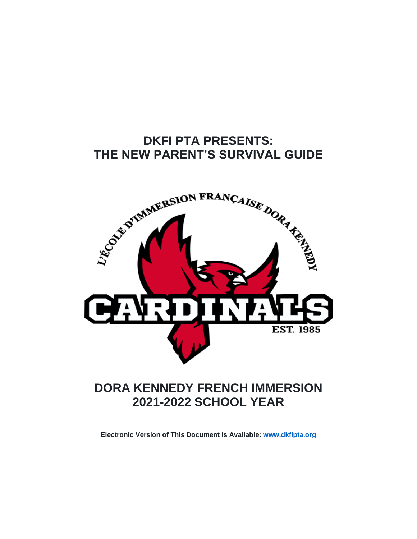# **DKFI PTA PRESENTS: THE NEW PARENT'S SURVIVAL GUIDE**



# **DORA KENNEDY FRENCH IMMERSION 2021-2022 SCHOOL YEAR**

**Electronic Version of This Document is Available: www.dkfipta.org**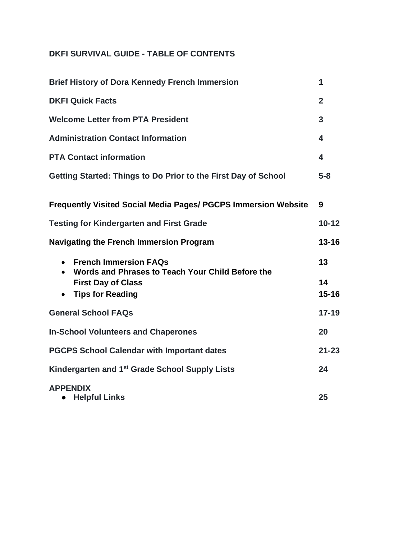# **DKFI SURVIVAL GUIDE - TABLE OF CONTENTS**

| <b>Brief History of Dora Kennedy French Immersion</b>                                                                                                 | 1                     |
|-------------------------------------------------------------------------------------------------------------------------------------------------------|-----------------------|
| <b>DKFI Quick Facts</b>                                                                                                                               | $\overline{2}$        |
| <b>Welcome Letter from PTA President</b>                                                                                                              | 3                     |
| <b>Administration Contact Information</b>                                                                                                             | 4                     |
| <b>PTA Contact information</b>                                                                                                                        | 4                     |
| Getting Started: Things to Do Prior to the First Day of School                                                                                        | $5 - 8$               |
| <b>Frequently Visited Social Media Pages/ PGCPS Immersion Website</b>                                                                                 | 9                     |
| <b>Testing for Kindergarten and First Grade</b>                                                                                                       | $10 - 12$             |
| <b>Navigating the French Immersion Program</b>                                                                                                        | $13 - 16$             |
| <b>French Immersion FAQs</b><br>Words and Phrases to Teach Your Child Before the<br><b>First Day of Class</b><br><b>Tips for Reading</b><br>$\bullet$ | 13<br>14<br>$15 - 16$ |
| <b>General School FAQs</b>                                                                                                                            | $17 - 19$             |
| <b>In-School Volunteers and Chaperones</b>                                                                                                            | 20                    |
| <b>PGCPS School Calendar with Important dates</b>                                                                                                     | $21 - 23$             |
| Kindergarten and 1 <sup>st</sup> Grade School Supply Lists                                                                                            | 24                    |
| <b>APPENDIX</b><br><b>Helpful Links</b><br>$\bullet$                                                                                                  | 25                    |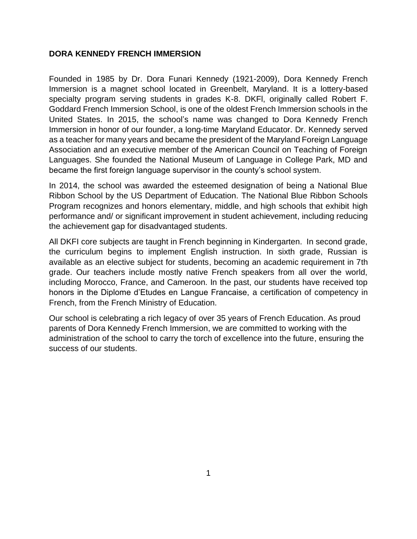#### **DORA KENNEDY FRENCH IMMERSION**

Founded in 1985 by Dr. Dora Funari Kennedy (1921-2009), Dora Kennedy French Immersion is a magnet school located in Greenbelt, Maryland. It is a lottery-based specialty program serving students in grades K-8. DKFl, originally called Robert F. Goddard French Immersion School, is one of the oldest French Immersion schools in the United States. In 2015, the school's name was changed to Dora Kennedy French Immersion in honor of our founder, a long-time Maryland Educator. Dr. Kennedy served as a teacher for many years and became the president of the Maryland Foreign Language Association and an executive member of the American Council on Teaching of Foreign Languages. She founded the National Museum of Language in College Park, MD and became the first foreign language supervisor in the county's school system.

In 2014, the school was awarded the esteemed designation of being a National Blue Ribbon School by the US Department of Education. The National Blue Ribbon Schools Program recognizes and honors elementary, middle, and high schools that exhibit high performance and/ or significant improvement in student achievement, including reducing the achievement gap for disadvantaged students.

All DKFI core subjects are taught in French beginning in Kindergarten. In second grade, the curriculum begins to implement English instruction. In sixth grade, Russian is available as an elective subject for students, becoming an academic requirement in 7th grade. Our teachers include mostly native French speakers from all over the world, including Morocco, France, and Cameroon. In the past, our students have received top honors in the Diplome d'Etudes en Langue Francaise, a certification of competency in French, from the French Ministry of Education.

Our school is celebrating a rich legacy of over 35 years of French Education. As proud parents of Dora Kennedy French Immersion, we are committed to working with the administration of the school to carry the torch of excellence into the future, ensuring the success of our students.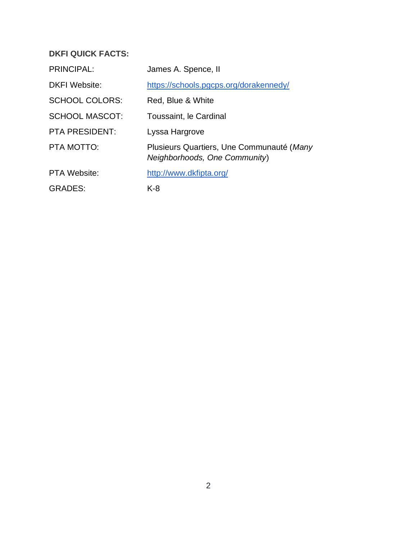## **DKFI QUICK FACTS:**

| <b>PRINCIPAL:</b>     | James A. Spence, II                                                        |
|-----------------------|----------------------------------------------------------------------------|
| <b>DKFI</b> Website:  | https://schools.pgcps.org/dorakennedy/                                     |
| <b>SCHOOL COLORS:</b> | Red, Blue & White                                                          |
| <b>SCHOOL MASCOT:</b> | Toussaint, le Cardinal                                                     |
| <b>PTA PRESIDENT:</b> | Lyssa Hargrove                                                             |
| PTA MOTTO:            | Plusieurs Quartiers, Une Communauté (Many<br>Neighborhoods, One Community) |
| <b>PTA Website:</b>   | http://www.dkfipta.org/                                                    |
| <b>GRADES:</b>        | $K-8$                                                                      |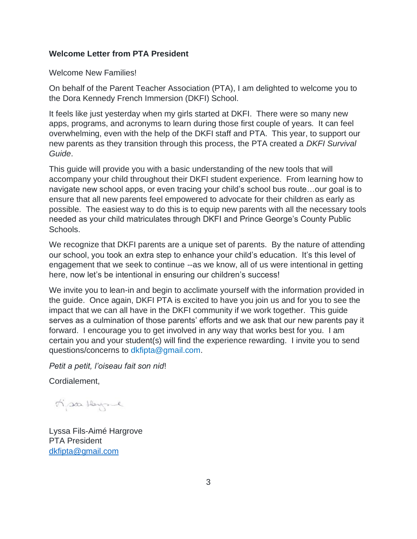#### **Welcome Letter from PTA President**

Welcome New Families!

On behalf of the Parent Teacher Association (PTA), I am delighted to welcome you to the Dora Kennedy French Immersion (DKFI) School.

It feels like just yesterday when my girls started at DKFI. There were so many new apps, programs, and acronyms to learn during those first couple of years. It can feel overwhelming, even with the help of the DKFI staff and PTA. This year, to support our new parents as they transition through this process, the PTA created a *DKFI Survival Guide*.

This guide will provide you with a basic understanding of the new tools that will accompany your child throughout their DKFI student experience. From learning how to navigate new school apps, or even tracing your child's school bus route…our goal is to ensure that all new parents feel empowered to advocate for their children as early as possible. The easiest way to do this is to equip new parents with all the necessary tools needed as your child matriculates through DKFI and Prince George's County Public Schools.

We recognize that DKFI parents are a unique set of parents. By the nature of attending our school, you took an extra step to enhance your child's education. It's this level of engagement that we seek to continue --as we know, all of us were intentional in getting here, now let's be intentional in ensuring our children's success!

We invite you to lean-in and begin to acclimate yourself with the information provided in the guide. Once again, DKFI PTA is excited to have you join us and for you to see the impact that we can all have in the DKFI community if we work together. This guide serves as a culmination of those parents' efforts and we ask that our new parents pay it forward. I encourage you to get involved in any way that works best for you. I am certain you and your student(s) will find the experience rewarding. I invite you to send questions/concerns to dkfipta@gmail.com.

*Petit a petit, l'oiseau fait son nid*!

Cordialement,

Mar Hayse

Lyssa Fils-Aimé Hargrove PTA President dkfipta@gmail.com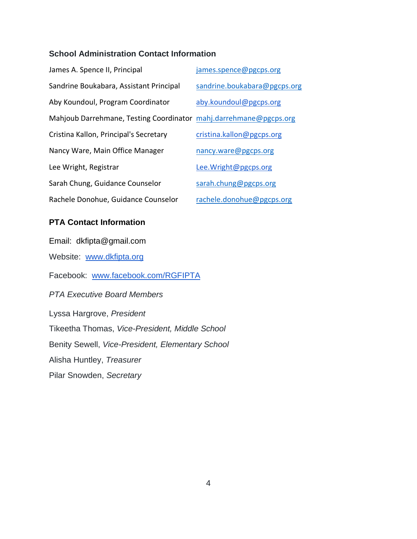## **School Administration Contact Information**

| James A. Spence II, Principal                                     | james.spence@pgcps.org       |
|-------------------------------------------------------------------|------------------------------|
| Sandrine Boukabara, Assistant Principal                           | sandrine.boukabara@pgcps.org |
| Aby Koundoul, Program Coordinator                                 | aby.koundoul@pgcps.org       |
| Mahjoub Darrehmane, Testing Coordinator mahj.darrehmane@pgcps.org |                              |
| Cristina Kallon, Principal's Secretary                            | cristina.kallon@pgcps.org    |
| Nancy Ware, Main Office Manager                                   | nancy.ware@pgcps.org         |
| Lee Wright, Registrar                                             | Lee.Wright@pgcps.org         |
| Sarah Chung, Guidance Counselor                                   | sarah.chung@pgcps.org        |
| Rachele Donohue, Guidance Counselor                               | rachele.donohue@pgcps.org    |

## **PTA Contact Information**

Email: dkfipta@gmail.com Website: www.dkfipta.org Facebook: www.facebook.com/RGFIPTA *PTA Executive Board Members* Lyssa Hargrove, *President* Tikeetha Thomas, *Vice-President, Middle School* Benity Sewell, *Vice-President, Elementary School* Alisha Huntley, *Treasurer*  Pilar Snowden, *Secretary*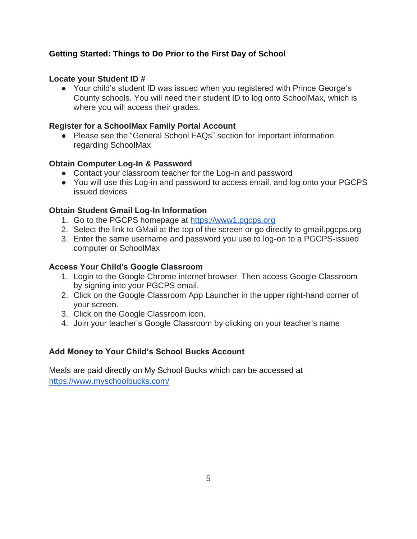## **Getting Started: Things to Do Prior to the First Day of School**

#### **Locate your Student ID #**

● Your child's student ID was issued when you registered with Prince George's County schools. You will need their student ID to log onto SchoolMax, which is where you will access their grades.

#### **Register for a SchoolMax Family Portal Account**

● Please see the "General School FAQs" section for important information regarding SchoolMax

#### **Obtain Computer Log-In & Password**

- Contact your classroom teacher for the Log-in and password
- You will use this Log-in and password to access email, and log onto your PGCPS issued devices

#### **Obtain Student Gmail Log-In Information**

- 1. Go to the PGCPS homepage at https://www1.pgcps.org
- 2. Select the link to GMail at the top of the screen or go directly to gmail.pgcps.org
- 3. Enter the same username and password you use to log-on to a PGCPS-issued computer or SchoolMax

#### **Access Your Child's Google Classroom**

- 1. Login to the Google Chrome internet browser. Then access Google Classroom by signing into your PGCPS email.
- 2. Click on the Google Classroom App Launcher in the upper right-hand corner of your screen.
- 3. Click on the Google Classroom icon.
- 4. Join your teacher's Google Classroom by clicking on your teacher's name

#### **Add Money to Your Child's School Bucks Account**

Meals are paid directly on My School Bucks which can be accessed at https://www.myschoolbucks.com/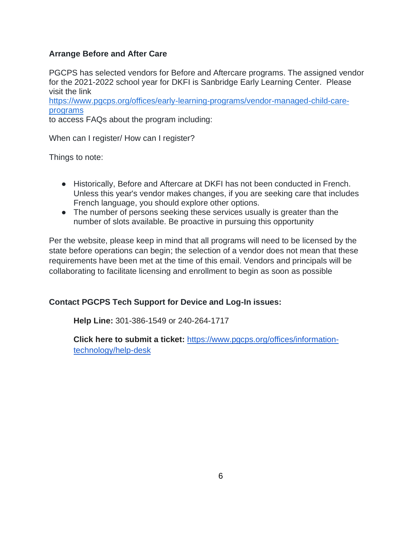## **Arrange Before and After Care**

PGCPS has selected vendors for Before and Aftercare programs. The assigned vendor for the 2021-2022 school year for DKFI is Sanbridge Early Learning Center. Please visit the link

https://www.pgcps.org/offices/early-learning-programs/vendor-managed-child-careprograms

to access FAQs about the program including:

When can I register/ How can I register?

Things to note:

- Historically, Before and Aftercare at DKFI has not been conducted in French. Unless this year's vendor makes changes, if you are seeking care that includes French language, you should explore other options.
- The number of persons seeking these services usually is greater than the number of slots available. Be proactive in pursuing this opportunity

Per the website, please keep in mind that all programs will need to be licensed by the state before operations can begin; the selection of a vendor does not mean that these requirements have been met at the time of this email. Vendors and principals will be collaborating to facilitate licensing and enrollment to begin as soon as possible

#### **Contact PGCPS Tech Support for Device and Log-In issues:**

**Help Line:** 301-386-1549 or 240-264-1717

**Click here to submit a ticket:** https://www.pgcps.org/offices/informationtechnology/help-desk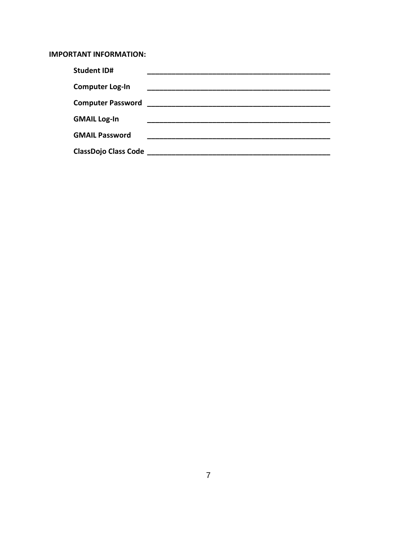#### **IMPORTANT INFORMATION:**

| <b>Student ID#</b>          |  |
|-----------------------------|--|
| <b>Computer Log-In</b>      |  |
| <b>Computer Password</b>    |  |
| <b>GMAIL Log-In</b>         |  |
| <b>GMAIL Password</b>       |  |
| <b>ClassDojo Class Code</b> |  |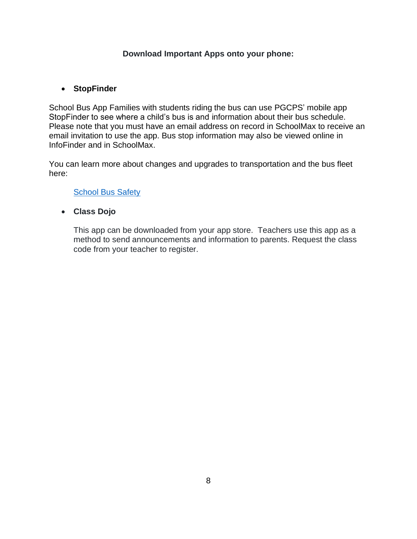## **Download Important Apps onto your phone:**

## • **StopFinder**

School Bus App Families with students riding the bus can use PGCPS' mobile app StopFinder to see where a child's bus is and information about their bus schedule. Please note that you must have an email address on record in SchoolMax to receive an email invitation to use the app. Bus stop information may also be viewed online in InfoFinder and in SchoolMax.

You can learn more about changes and upgrades to transportation and the bus fleet here:

#### **School Bus Safety**

• **Class Dojo** 

This app can be downloaded from your app store. Teachers use this app as a method to send announcements and information to parents. Request the class code from your teacher to register.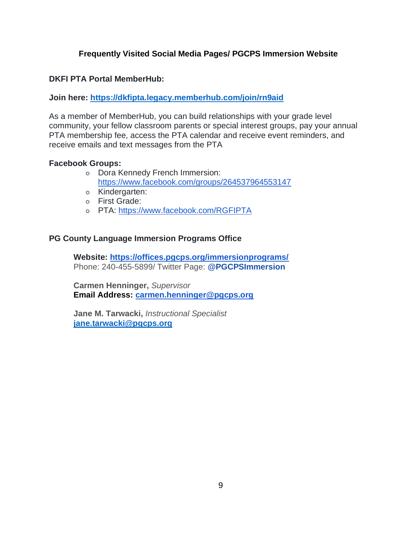## **Frequently Visited Social Media Pages/ PGCPS Immersion Website**

#### **DKFI PTA Portal MemberHub:**

#### **Join here: https://dkfipta.legacy.memberhub.com/join/rn9aid**

As a member of MemberHub, you can build relationships with your grade level community, your fellow classroom parents or special interest groups, pay your annual PTA membership fee, access the PTA calendar and receive event reminders, and receive emails and text messages from the PTA

#### **Facebook Groups:**

- Dora Kennedy French Immersion: https://www.facebook.com/groups/264537964553147
- Kindergarten:
- First Grade:
- PTA: https://www.facebook.com/RGFIPTA

#### **PG County Language Immersion Programs Office**

**Website: https://offices.pgcps.org/immersionprograms/** Phone: 240-455-5899/ Twitter Page: **@PGCPSImmersion**

**Carmen Henninger,** *Supervisor* **Email Address: carmen.henninger@pgcps.org**

**Jane M. Tarwacki,** *Instructional Specialist* **jane.tarwacki@pgcps.org**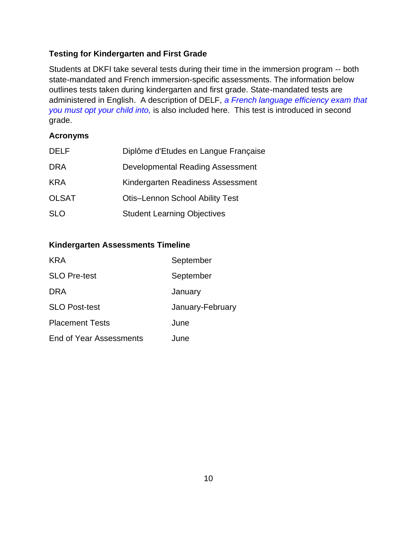## **Testing for Kindergarten and First Grade**

Students at DKFI take several tests during their time in the immersion program -- both state-mandated and French immersion-specific assessments. The information below outlines tests taken during kindergarten and first grade. State-mandated tests are administered in English. A description of DELF, *a French language efficiency exam that you must opt your child into,* is also included here. This test is introduced in second grade.

## **Acronyms**

| <b>DELF</b>  | Diplôme d'Etudes en Langue Française   |
|--------------|----------------------------------------|
| <b>DRA</b>   | Developmental Reading Assessment       |
| <b>KRA</b>   | Kindergarten Readiness Assessment      |
| <b>OLSAT</b> | <b>Otis-Lennon School Ability Test</b> |
| <b>SLO</b>   | <b>Student Learning Objectives</b>     |

## **Kindergarten Assessments Timeline**

| <b>KRA</b>                     | September        |
|--------------------------------|------------------|
| <b>SLO Pre-test</b>            | September        |
| DRA                            | January          |
| <b>SLO Post-test</b>           | January-February |
| <b>Placement Tests</b>         | June             |
| <b>End of Year Assessments</b> | June             |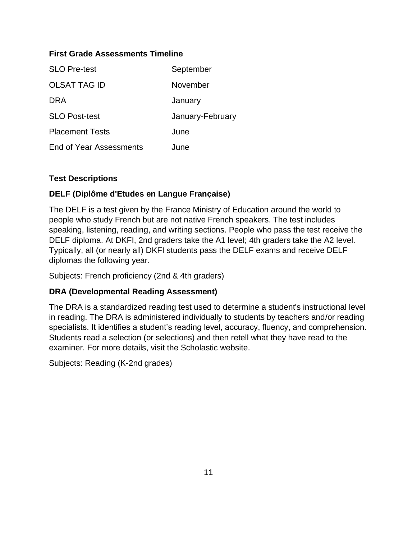## **First Grade Assessments Timeline**

| <b>SLO Pre-test</b>     | September        |
|-------------------------|------------------|
| <b>OLSAT TAG ID</b>     | November         |
| DRA                     | January          |
| <b>SLO Post-test</b>    | January-February |
| <b>Placement Tests</b>  | June             |
| End of Year Assessments | June             |

## **Test Descriptions**

## **DELF (Diplôme d'Etudes en Langue Française)**

The DELF is a test given by the France Ministry of Education around the world to people who study French but are not native French speakers. The test includes speaking, listening, reading, and writing sections. People who pass the test receive the DELF diploma. At DKFI, 2nd graders take the A1 level; 4th graders take the A2 level. Typically, all (or nearly all) DKFI students pass the DELF exams and receive DELF diplomas the following year.

Subjects: French proficiency (2nd & 4th graders)

## **DRA (Developmental Reading Assessment)**

The DRA is a standardized reading test used to determine a student's instructional level in reading. The DRA is administered individually to students by teachers and/or reading specialists. It identifies a student's reading level, accuracy, fluency, and comprehension. Students read a selection (or selections) and then retell what they have read to the examiner. For more details, visit the Scholastic website.

Subjects: Reading (K-2nd grades)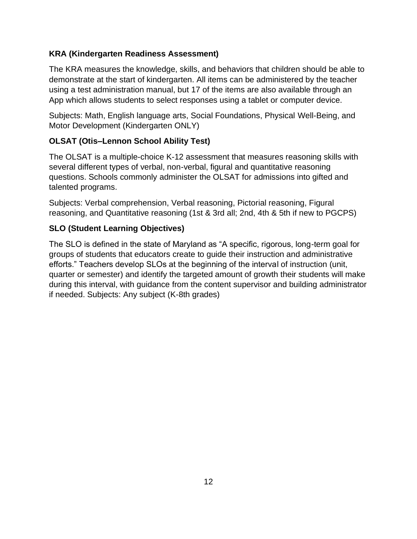## **KRA (Kindergarten Readiness Assessment)**

The KRA measures the knowledge, skills, and behaviors that children should be able to demonstrate at the start of kindergarten. All items can be administered by the teacher using a test administration manual, but 17 of the items are also available through an App which allows students to select responses using a tablet or computer device.

Subjects: Math, English language arts, Social Foundations, Physical Well-Being, and Motor Development (Kindergarten ONLY)

## **OLSAT (Otis–Lennon School Ability Test)**

The OLSAT is a multiple-choice K-12 assessment that measures reasoning skills with several different types of verbal, non-verbal, figural and quantitative reasoning questions. Schools commonly administer the OLSAT for admissions into gifted and talented programs.

Subjects: Verbal comprehension, Verbal reasoning, Pictorial reasoning, Figural reasoning, and Quantitative reasoning (1st & 3rd all; 2nd, 4th & 5th if new to PGCPS)

## **SLO (Student Learning Objectives)**

The SLO is defined in the state of Maryland as "A specific, rigorous, long-term goal for groups of students that educators create to guide their instruction and administrative efforts." Teachers develop SLOs at the beginning of the interval of instruction (unit, quarter or semester) and identify the targeted amount of growth their students will make during this interval, with guidance from the content supervisor and building administrator if needed. Subjects: Any subject (K-8th grades)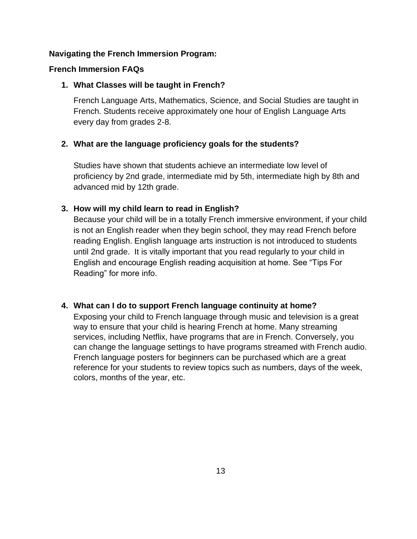#### **Navigating the French Immersion Program:**

#### **French Immersion FAQs**

#### **1. What Classes will be taught in French?**

French Language Arts, Mathematics, Science, and Social Studies are taught in French. Students receive approximately one hour of English Language Arts every day from grades 2-8.

#### **2. What are the language proficiency goals for the students?**

Studies have shown that students achieve an intermediate low level of proficiency by 2nd grade, intermediate mid by 5th, intermediate high by 8th and advanced mid by 12th grade.

## **3. How will my child learn to read in English?**

Because your child will be in a totally French immersive environment, if your child is not an English reader when they begin school, they may read French before reading English. English language arts instruction is not introduced to students until 2nd grade. It is vitally important that you read regularly to your child in English and encourage English reading acquisition at home. See "Tips For Reading" for more info.

#### **4. What can I do to support French language continuity at home?**

Exposing your child to French language through music and television is a great way to ensure that your child is hearing French at home. Many streaming services, including Netflix, have programs that are in French. Conversely, you can change the language settings to have programs streamed with French audio. French language posters for beginners can be purchased which are a great reference for your students to review topics such as numbers, days of the week, colors, months of the year, etc.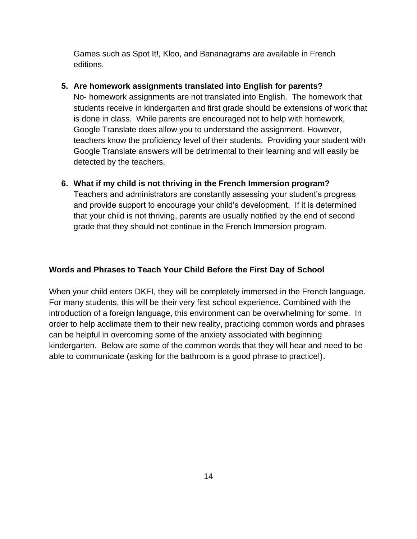Games such as Spot It!, Kloo, and Bananagrams are available in French editions.

## **5. Are homework assignments translated into English for parents?**

No- homework assignments are not translated into English. The homework that students receive in kindergarten and first grade should be extensions of work that is done in class. While parents are encouraged not to help with homework, Google Translate does allow you to understand the assignment. However, teachers know the proficiency level of their students. Providing your student with Google Translate answers will be detrimental to their learning and will easily be detected by the teachers.

## **6. What if my child is not thriving in the French Immersion program?** Teachers and administrators are constantly assessing your student's progress and provide support to encourage your child's development. If it is determined that your child is not thriving, parents are usually notified by the end of second grade that they should not continue in the French Immersion program.

## **Words and Phrases to Teach Your Child Before the First Day of School**

When your child enters DKFI, they will be completely immersed in the French language. For many students, this will be their very first school experience. Combined with the introduction of a foreign language, this environment can be overwhelming for some. In order to help acclimate them to their new reality, practicing common words and phrases can be helpful in overcoming some of the anxiety associated with beginning kindergarten. Below are some of the common words that they will hear and need to be able to communicate (asking for the bathroom is a good phrase to practice!).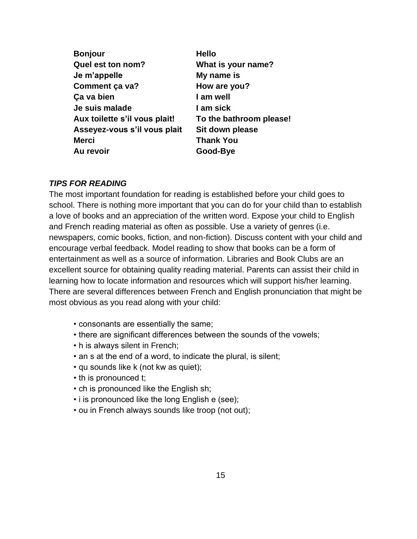| <b>Bonjour</b>                | <b>Hello</b>            |
|-------------------------------|-------------------------|
| Quel est ton nom?             | What is your name?      |
| Je m'appelle                  | My name is              |
| Comment ça va?                | How are you?            |
| Ça va bien                    | I am well               |
| Je suis malade                | I am sick               |
| Aux toilette s'il vous plait! | To the bathroom please! |
| Asseyez-vous s'il vous plait  | Sit down please         |
| <b>Merci</b>                  | <b>Thank You</b>        |
| Au revoir                     | Good-Bye                |
|                               |                         |

#### *TIPS FOR READING*

The most important foundation for reading is established before your child goes to school. There is nothing more important that you can do for your child than to establish a love of books and an appreciation of the written word. Expose your child to English and French reading material as often as possible. Use a variety of genres (i.e. newspapers, comic books, fiction, and non-fiction). Discuss content with your child and encourage verbal feedback. Model reading to show that books can be a form of entertainment as well as a source of information. Libraries and Book Clubs are an excellent source for obtaining quality reading material. Parents can assist their child in learning how to locate information and resources which will support his/her learning. There are several differences between French and English pronunciation that might be most obvious as you read along with your child:

- consonants are essentially the same;
- there are significant differences between the sounds of the vowels;
- h is always silent in French;
- an s at the end of a word, to indicate the plural, is silent;
- qu sounds like k (not kw as quiet);
- th is pronounced t;
- ch is pronounced like the English sh;
- i is pronounced like the long English e (see);
- ou in French always sounds like troop (not out);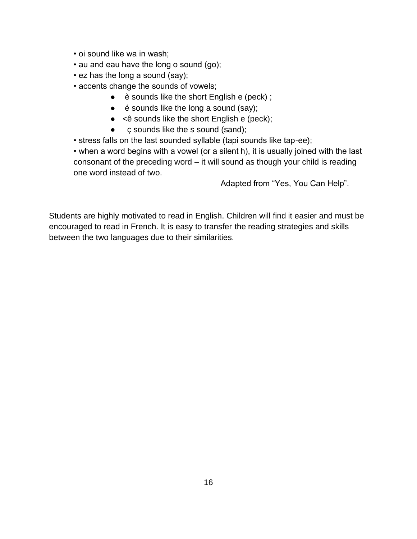- oi sound like wa in wash;
- au and eau have the long o sound (go);
- ez has the long a sound (say);
- accents change the sounds of vowels;
	- è sounds like the short English e (peck) ;
	- $\bullet$  é sounds like the long a sound (say);
	- $\bullet \quad$  <  $\hat{e}$  sounds like the short English e (peck);
	- c sounds like the s sound (sand);
- stress falls on the last sounded syllable (tapi sounds like tap-ee);

• when a word begins with a vowel (or a silent h), it is usually joined with the last consonant of the preceding word – it will sound as though your child is reading one word instead of two.

Adapted from "Yes, You Can Help".

Students are highly motivated to read in English. Children will find it easier and must be encouraged to read in French. It is easy to transfer the reading strategies and skills between the two languages due to their similarities.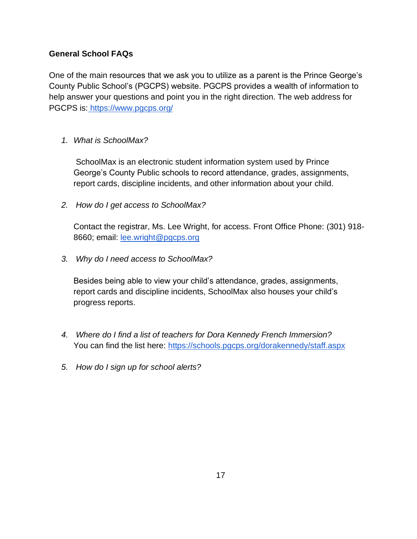## **General School FAQs**

One of the main resources that we ask you to utilize as a parent is the Prince George's County Public School's (PGCPS) website. PGCPS provides a wealth of information to help answer your questions and point you in the right direction. The web address for PGCPS is: https://www.pgcps.org/

## *1. What is SchoolMax?*

SchoolMax is an electronic student information system used by Prince George's County Public schools to record attendance, grades, assignments, report cards, discipline incidents, and other information about your child.

*2. How do I get access to SchoolMax?*

Contact the registrar, Ms. Lee Wright, for access. Front Office Phone: (301) 918- 8660; email: lee.wright@pgcps.org

*3. Why do I need access to SchoolMax?*

Besides being able to view your child's attendance, grades, assignments, report cards and discipline incidents, SchoolMax also houses your child's progress reports.

- *4. Where do I find a list of teachers for Dora Kennedy French Immersion?* You can find the list here: https://schools.pgcps.org/dorakennedy/staff.aspx
- *5. How do I sign up for school alerts?*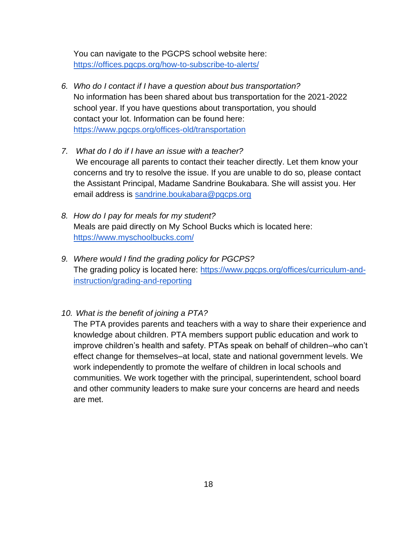You can navigate to the PGCPS school website here: https://offices.pgcps.org/how-to-subscribe-to-alerts/

- *6. Who do I contact if I have a question about bus transportation?* No information has been shared about bus transportation for the 2021-2022 school year. If you have questions about transportation, you should contact your lot. Information can be found here: https://www.pgcps.org/offices-old/transportation
- *7. What do I do if I have an issue with a teacher?* We encourage all parents to contact their teacher directly. Let them know your concerns and try to resolve the issue. If you are unable to do so, please contact the Assistant Principal, Madame Sandrine Boukabara. She will assist you. Her email address is sandrine.boukabara@pgcps.org
- *8. How do I pay for meals for my student?* Meals are paid directly on My School Bucks which is located here: https://www.myschoolbucks.com/
- *9. Where would I find the grading policy for PGCPS?* The grading policy is located here: https://www.pgcps.org/offices/curriculum-andinstruction/grading-and-reporting
- *10. What is the benefit of joining a PTA?*

The PTA provides parents and teachers with a way to share their experience and knowledge about children. PTA members support public education and work to improve children's health and safety. PTAs speak on behalf of children–who can't effect change for themselves–at local, state and national government levels. We work independently to promote the welfare of children in local schools and communities. We work together with the principal, superintendent, school board and other community leaders to make sure your concerns are heard and needs are met.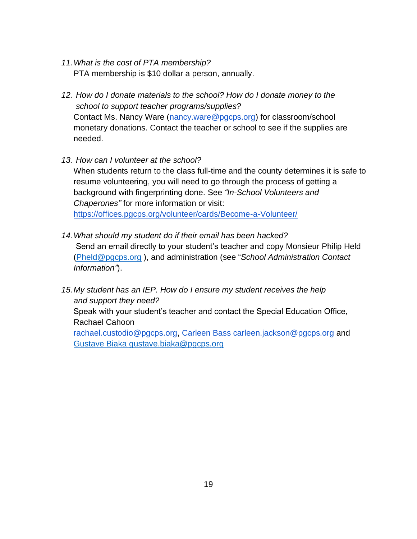- *11.What is the cost of PTA membership?* PTA membership is \$10 dollar a person, annually.
- *12. How do I donate materials to the school? How do I donate money to the school to support teacher programs/supplies?* Contact Ms. Nancy Ware (nancy.ware@pgcps.org) for classroom/school monetary donations. Contact the teacher or school to see if the supplies are needed.
- *13. How can I volunteer at the school?*

When students return to the class full-time and the county determines it is safe to resume volunteering, you will need to go through the process of getting a background with fingerprinting done. See *"In-School Volunteers and Chaperones"* for more information or visit: https://offices.pgcps.org/volunteer/cards/Become-a-Volunteer/

- *14.What should my student do if their email has been hacked?* Send an email directly to your student's teacher and copy Monsieur Philip Held (Pheld@pgcps.org ), and administration (see "*School Administration Contact Information"*).
- *15.My student has an IEP. How do I ensure my student receives the help and support they need?*

Speak with your student's teacher and contact the Special Education Office, Rachael Cahoon

rachael.custodio@pgcps.org, Carleen Bass carleen.jackson@pgcps.org and Gustave Biaka gustave.biaka@pgcps.org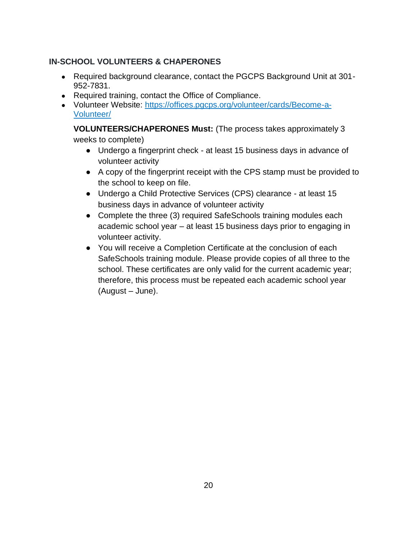## **IN-SCHOOL VOLUNTEERS & CHAPERONES**

- Required background clearance, contact the PGCPS Background Unit at 301-952-7831.
- Required training, contact the Office of Compliance.
- Volunteer Website: https://offices.pgcps.org/volunteer/cards/Become-a-Volunteer/

**VOLUNTEERS/CHAPERONES Must:** (The process takes approximately 3 weeks to complete)

- Undergo a fingerprint check at least 15 business days in advance of volunteer activity
- A copy of the fingerprint receipt with the CPS stamp must be provided to the school to keep on file.
- Undergo a Child Protective Services (CPS) clearance at least 15 business days in advance of volunteer activity
- Complete the three (3) required SafeSchools training modules each academic school year – at least 15 business days prior to engaging in volunteer activity.
- You will receive a Completion Certificate at the conclusion of each SafeSchools training module. Please provide copies of all three to the school. These certificates are only valid for the current academic year; therefore, this process must be repeated each academic school year (August – June).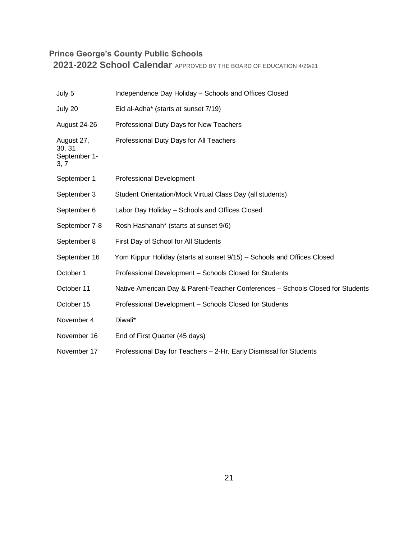# **Prince George's County Public Schools**

**2021-2022 School Calendar** APPROVED BY THE BOARD OF EDUCATION 4/29/21

| July 5                                       | Independence Day Holiday - Schools and Offices Closed                          |
|----------------------------------------------|--------------------------------------------------------------------------------|
| July 20                                      | Eid al-Adha* (starts at sunset 7/19)                                           |
| August 24-26                                 | Professional Duty Days for New Teachers                                        |
| August 27,<br>30, 31<br>September 1-<br>3, 7 | Professional Duty Days for All Teachers                                        |
| September 1                                  | <b>Professional Development</b>                                                |
| September 3                                  | Student Orientation/Mock Virtual Class Day (all students)                      |
| September 6                                  | Labor Day Holiday - Schools and Offices Closed                                 |
| September 7-8                                | Rosh Hashanah* (starts at sunset 9/6)                                          |
| September 8                                  | First Day of School for All Students                                           |
| September 16                                 | Yom Kippur Holiday (starts at sunset 9/15) – Schools and Offices Closed        |
| October 1                                    | Professional Development - Schools Closed for Students                         |
| October 11                                   | Native American Day & Parent-Teacher Conferences - Schools Closed for Students |
| October 15                                   | Professional Development - Schools Closed for Students                         |
| November 4                                   | Diwali*                                                                        |
| November 16                                  | End of First Quarter (45 days)                                                 |
| November 17                                  | Professional Day for Teachers - 2-Hr. Early Dismissal for Students             |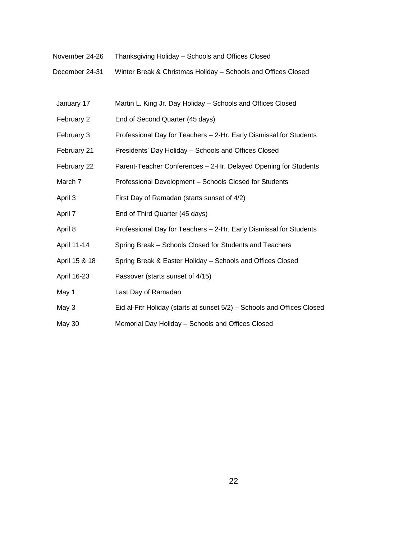- November 24-26 Thanksgiving Holiday Schools and Offices Closed
- December 24-31 Winter Break & Christmas Holiday Schools and Offices Closed
- January 17 Martin L. King Jr. Day Holiday Schools and Offices Closed February 2 End of Second Quarter (45 days) February 3 Professional Day for Teachers - 2-Hr. Early Dismissal for Students February 21 Presidents' Day Holiday – Schools and Offices Closed February 22 Parent-Teacher Conferences – 2-Hr. Delayed Opening for Students March 7 **Professional Development – Schools Closed for Students** April 3 First Day of Ramadan (starts sunset of 4/2) April 7 End of Third Quarter (45 days) April 8 Professional Day for Teachers – 2-Hr. Early Dismissal for Students April 11-14 Spring Break – Schools Closed for Students and Teachers April 15 & 18 Spring Break & Easter Holiday – Schools and Offices Closed April 16-23 Passover (starts sunset of 4/15) May 1 **Last Day of Ramadan** May 3 Eid al-Fitr Holiday (starts at sunset 5/2) – Schools and Offices Closed May 30 Memorial Day Holiday – Schools and Offices Closed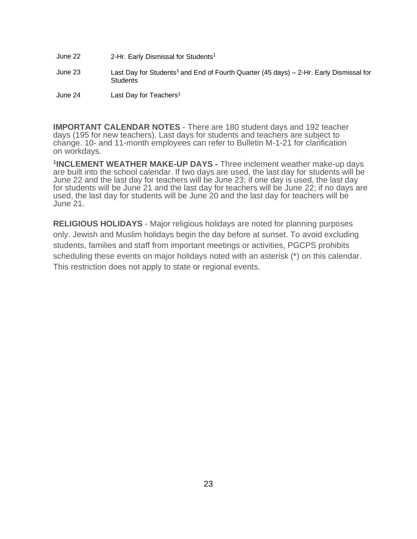June 22 2-Hr. Early Dismissal for Students<sup>1</sup> June 23 Last Day for Students<sup>1</sup> and End of Fourth Quarter (45 days) – 2-Hr. Early Dismissal for **Students** June 24 Last Day for Teachers<sup>1</sup>

**IMPORTANT CALENDAR NOTES** - There are 180 student days and 192 teacher days (195 for new teachers). Last days for students and teachers are subject to change. 10- and 11-month employees can refer to Bulletin M-1-21 for clarification on workdays.

1 **INCLEMENT WEATHER MAKE-UP DAYS -** Three inclement weather make-up days are built into the school calendar. If two days are used, the last day for students will be June 22 and the last day for teachers will be June 23; if one day is used, the last day for students will be June 21 and the last day for teachers will be June 22; if no days are used, the last day for students will be June 20 and the last day for teachers will be June 21.

**RELIGIOUS HOLIDAYS** - Major religious holidays are noted for planning purposes only. Jewish and Muslim holidays begin the day before at sunset. To avoid excluding students, families and staff from important meetings or activities, PGCPS prohibits scheduling these events on major holidays noted with an asterisk (\*) on this calendar. This restriction does not apply to state or regional events.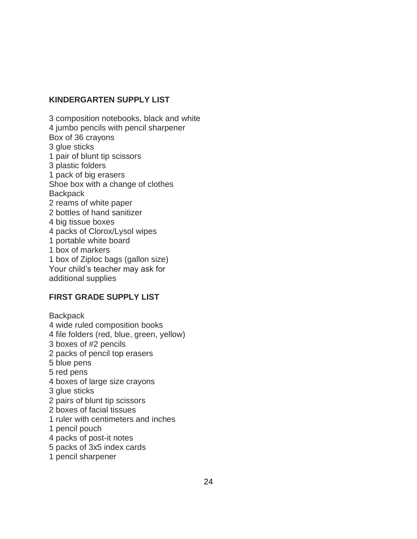#### **KINDERGARTEN SUPPLY LIST**

3 composition notebooks, black and white 4 jumbo pencils with pencil sharpener Box of 36 crayons 3 glue sticks 1 pair of blunt tip scissors 3 plastic folders 1 pack of big erasers Shoe box with a change of clothes **Backpack** 2 reams of white paper 2 bottles of hand sanitizer 4 big tissue boxes 4 packs of Clorox/Lysol wipes 1 portable white board 1 box of markers 1 box of Ziploc bags (gallon size) Your child's teacher may ask for additional supplies

## **FIRST GRADE SUPPLY LIST**

**Backpack** 4 wide ruled composition books 4 file folders (red, blue, green, yellow) 3 boxes of #2 pencils 2 packs of pencil top erasers 5 blue pens 5 red pens 4 boxes of large size crayons 3 glue sticks 2 pairs of blunt tip scissors 2 boxes of facial tissues 1 ruler with centimeters and inches 1 pencil pouch 4 packs of post-it notes 5 packs of 3x5 index cards

1 pencil sharpener